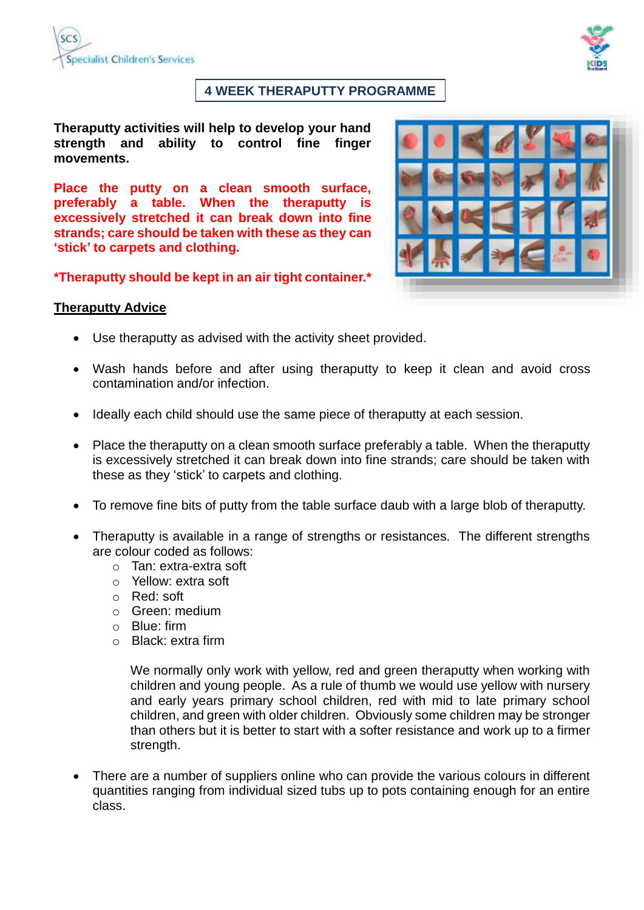

### **4 WEEK THERAPUTTY PROGRAMME**

**Theraputty activities will help to develop your hand strength and ability to control fine finger movements.**

**Place the putty on a clean smooth surface, preferably a table. When the theraputty is excessively stretched it can break down into fine strands; care should be taken with these as they can 'stick' to carpets and clothing.**



**\*Theraputty should be kept in an air tight container.\***

#### **Theraputty Advice**

- Use theraputty as advised with the activity sheet provided.
- Wash hands before and after using theraputty to keep it clean and avoid cross contamination and/or infection.
- Ideally each child should use the same piece of theraputty at each session.
- Place the theraputty on a clean smooth surface preferably a table. When the theraputty is excessively stretched it can break down into fine strands; care should be taken with these as they 'stick' to carpets and clothing.
- To remove fine bits of putty from the table surface daub with a large blob of theraputty.
- Theraputty is available in a range of strengths or resistances. The different strengths are colour coded as follows:
	- o Tan: extra-extra soft
	- o Yellow: extra soft
	- o Red: soft
	- o Green: medium
	- o Blue: firm
	- o Black: extra firm

We normally only work with yellow, red and green theraputty when working with children and young people. As a rule of thumb we would use yellow with nursery and early years primary school children, red with mid to late primary school children, and green with older children. Obviously some children may be stronger than others but it is better to start with a softer resistance and work up to a firmer strength.

 There are a number of suppliers online who can provide the various colours in different quantities ranging from individual sized tubs up to pots containing enough for an entire class.

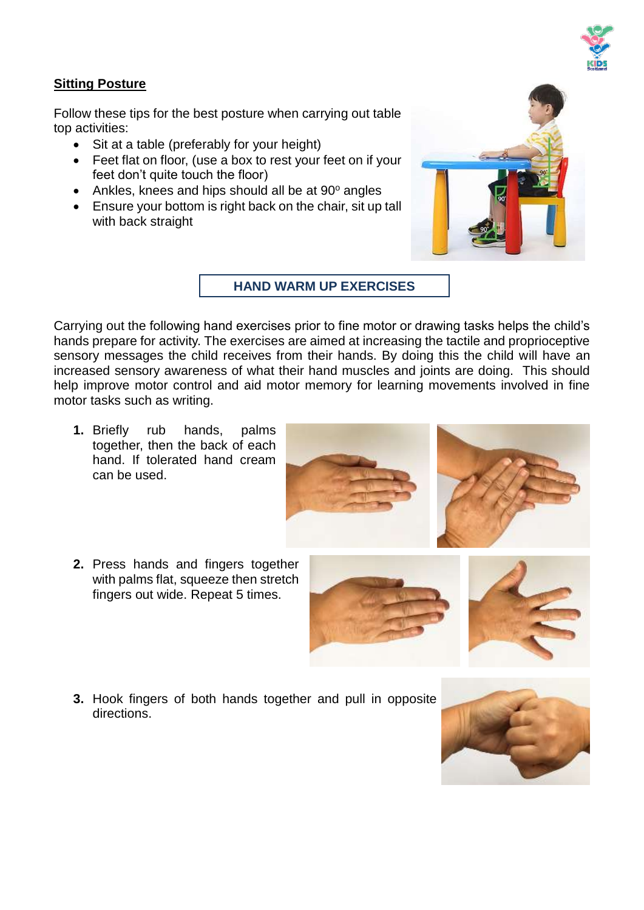

### **Sitting Posture**

Follow these tips for the best posture when carrying out table top activities:

- Sit at a table (preferably for your height)
- Feet flat on floor, (use a box to rest your feet on if your feet don't quite touch the floor)
- $\bullet$  Ankles, knees and hips should all be at 90 $^{\circ}$  angles
- Ensure your bottom is right back on the chair, sit up tall with back straight



**HAND WARM UP EXERCISES**

Carrying out the following hand exercises prior to fine motor or drawing tasks helps the child's hands prepare for activity. The exercises are aimed at increasing the tactile and proprioceptive sensory messages the child receives from their hands. By doing this the child will have an increased sensory awareness of what their hand muscles and joints are doing. This should help improve motor control and aid motor memory for learning movements involved in fine motor tasks such as writing.

- **1.** Briefly rub hands, palms together, then the back of each hand. If tolerated hand cream can be used.
- **2.** Press hands and fingers together with palms flat, squeeze then stretch fingers out wide. Repeat 5 times.





**3.** Hook fingers of both hands together and pull in opposite directions.

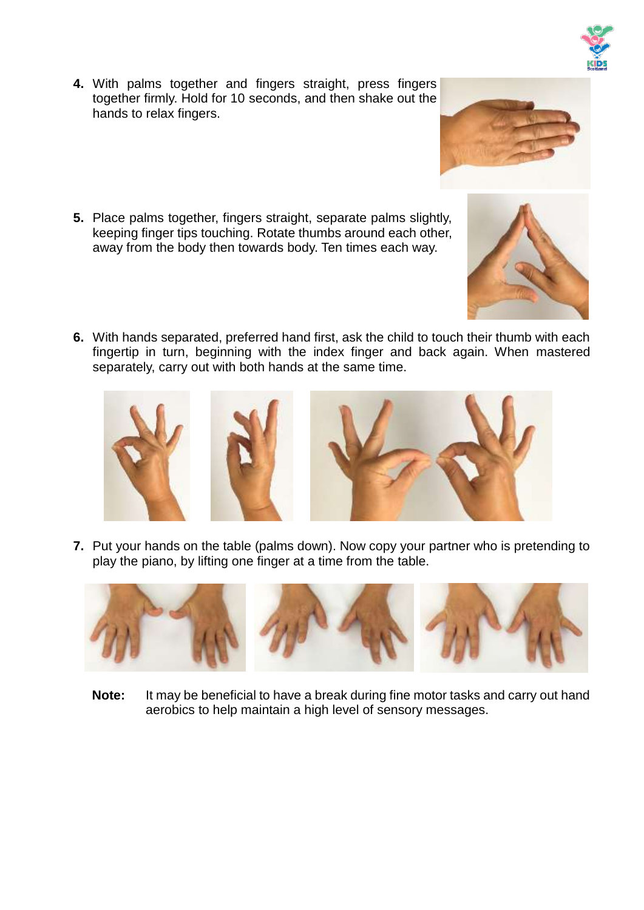- **4.** With palms together and fingers straight, press fingers together firmly. Hold for 10 seconds, and then shake out the hands to relax fingers.
- **5.** Place palms together, fingers straight, separate palms slightly, keeping finger tips touching. Rotate thumbs around each other, away from the body then towards body. Ten times each way.
- **6.** With hands separated, preferred hand first, ask the child to touch their thumb with each fingertip in turn, beginning with the index finger and back again. When mastered separately, carry out with both hands at the same time.

**7.** Put your hands on the table (palms down). Now copy your partner who is pretending to play the piano, by lifting one finger at a time from the table.



**Note:** It may be beneficial to have a break during fine motor tasks and carry out hand aerobics to help maintain a high level of sensory messages.







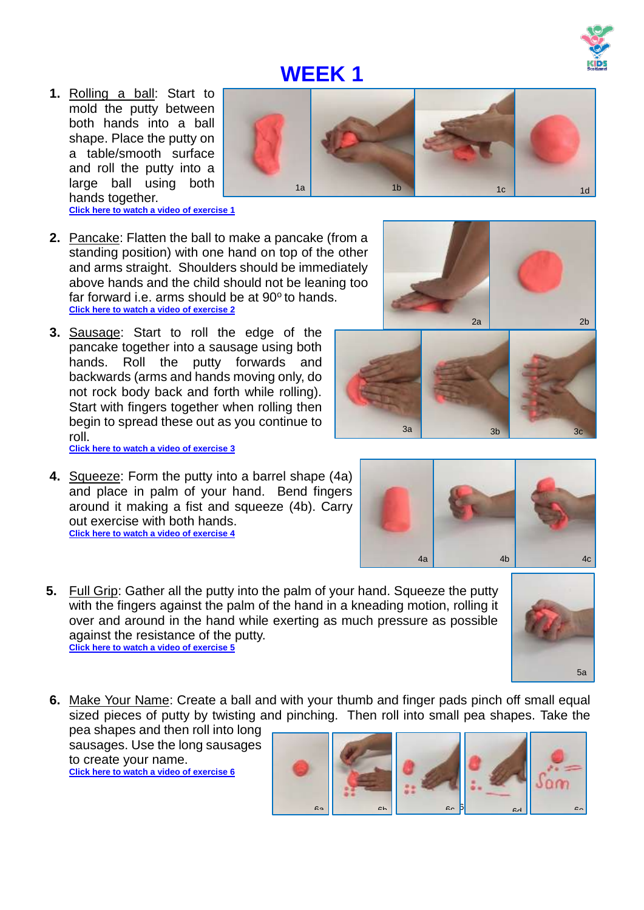**1.** Rolling a ball: Start to mold the putty between both hands into a ball shape. Place the putty on a table/smooth surface and roll the putty into a large ball using both hands together. **[Click here to watch a video](https://vimeo.com/232613128) of exercise 1**



- **2.** Pancake: Flatten the ball to make a pancake (from a standing position) with one hand on top of the other and arms straight. Shoulders should be immediately above hands and the child should not be leaning too far forward i.e. arms should be at 90° to hands. **[Click here to watch a video](https://vimeo.com/232613277) of exercise 2**
- **3.** Sausage: Start to roll the edge of the pancake together into a sausage using both hands. Roll the putty forwards and backwards (arms and hands moving only, do not rock body back and forth while rolling). Start with fingers together when rolling then begin to spread these out as you continue to roll. **[Click here to watch a video](https://vimeo.com/232613301) of exercise 3**
- **4.** Squeeze: Form the putty into a barrel shape (4a) and place in palm of your hand. Bend fingers around it making a fist and squeeze (4b). Carry out exercise with both hands. **[Click here to watch a video of exercise 4](https://vimeo.com/233310527)**
- **5.** Full Grip: Gather all the putty into the palm of your hand. Squeeze the putty with the fingers against the palm of the hand in a kneading motion, rolling it over and around in the hand while exerting as much pressure as possible against the resistance of the putty. **[Click here to watch a video of exercise 5](https://vimeo.com/233310527)**
- **6.** Make Your Name: Create a ball and with your thumb and finger pads pinch off small equal sized pieces of putty by twisting and pinching. Then roll into small pea shapes. Take the

pea shapes and then roll into long sausages. Use the long sausages to create your name. **[Click here to watch a video of exercise 6](https://vimeo.com/233311335)**











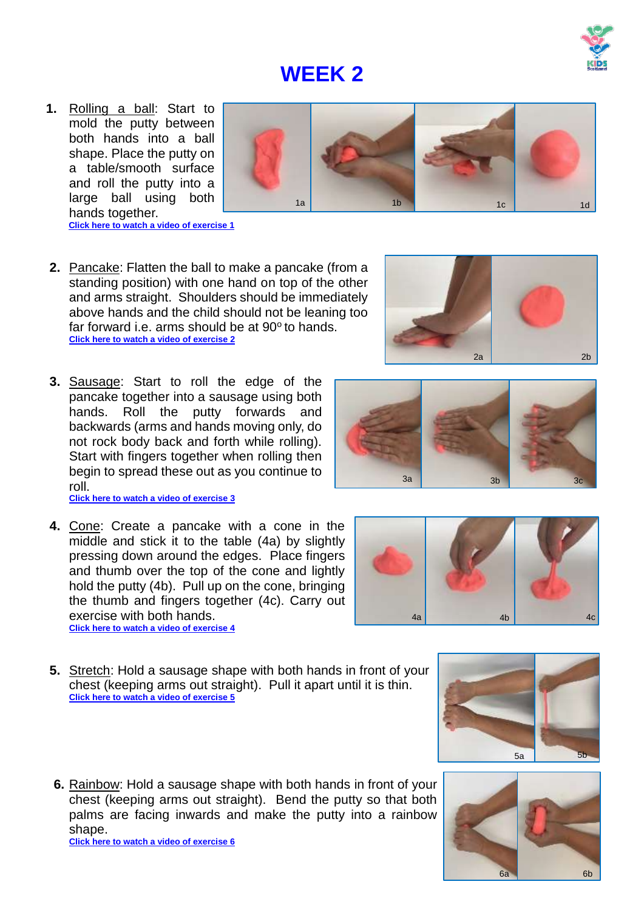

 **[Click here to watch a video](https://vimeo.com/232613128) of exercise 1**

hands together.



- **2.** Pancake: Flatten the ball to make a pancake (from a standing position) with one hand on top of the other and arms straight. Shoulders should be immediately above hands and the child should not be leaning too far forward i.e. arms should be at 90° to hands. **[Click here to watch a video](https://vimeo.com/232613277) of exercise 2**
- **3.** Sausage: Start to roll the edge of the pancake together into a sausage using both hands. Roll the putty forwards and backwards (arms and hands moving only, do not rock body back and forth while rolling). Start with fingers together when rolling then begin to spread these out as you continue to roll. **[Click here to watch a video](https://vimeo.com/232613301) of exercise 3**
- **4.** Cone: Create a pancake with a cone in the middle and stick it to the table (4a) by slightly pressing down around the edges. Place fingers and thumb over the top of the cone and lightly hold the putty (4b). Pull up on the cone, bringing the thumb and fingers together (4c). Carry out exercise with both hands.

**[Click here to watch a video of exercise 4](https://vimeo.com/233310419)**

- **5.** Stretch: Hold a sausage shape with both hands in front of your chest (keeping arms out straight). Pull it apart until it is thin. **[Click here to watch a video of exercise 5](https://vimeo.com/233310936)**
- **6.** Rainbow: Hold a sausage shape with both hands in front of your chest (keeping arms out straight). Bend the putty so that both palms are facing inwards and make the putty into a rainbow shape. **[Click here to watch a video of exercise 6](https://vimeo.com/233310869)**





2a 2b





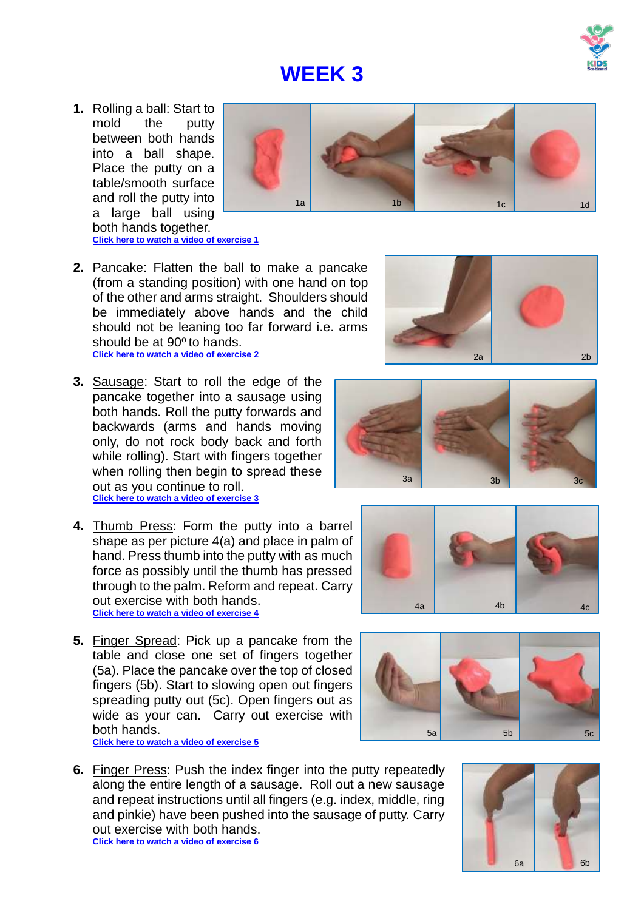

**1.** Rolling a ball: Start to mold the putty between both hands into a ball shape. Place the putty on a table/smooth surface and roll the putty into a large ball using both hands together. **[Click here to watch a video](https://vimeo.com/232613128) of exercise 1**



- **2.** Pancake: Flatten the ball to make a pancake (from a standing position) with one hand on top of the other and arms straight. Shoulders should be immediately above hands and the child should not be leaning too far forward i.e. arms should be at 90° to hands. **[Click here to watch a video](https://vimeo.com/232613277) of exercise 2**
- **3.** Sausage: Start to roll the edge of the pancake together into a sausage using both hands. Roll the putty forwards and backwards (arms and hands moving only, do not rock body back and forth while rolling). Start with fingers together when rolling then begin to spread these out as you continue to roll. **[Click here to watch a video](https://vimeo.com/232613301) of exercise 3**
- **4.** Thumb Press: Form the putty into a barrel shape as per picture 4(a) and place in palm of hand. Press thumb into the putty with as much force as possibly until the thumb has pressed through to the palm. Reform and repeat. Carry out exercise with both hands. **[Click here to watch a video of exercise 4](https://vimeo.com/233310653)**
- **5.** Finger Spread: Pick up a pancake from the table and close one set of fingers together (5a). Place the pancake over the top of closed fingers (5b). Start to slowing open out fingers spreading putty out (5c). Open fingers out as wide as your can. Carry out exercise with both hands. **[Click here to watch a video of exercise 5](https://vimeo.com/233310456)**

**6.** Finger Press: Push the index finger into the putty repeatedly along the entire length of a sausage. Roll out a new sausage and repeat instructions until all fingers (e.g. index, middle, ring and pinkie) have been pushed into the sausage of putty. Carry out exercise with both hands. **[Click here to watch a video of exercise 6](https://vimeo.com/233311126)**